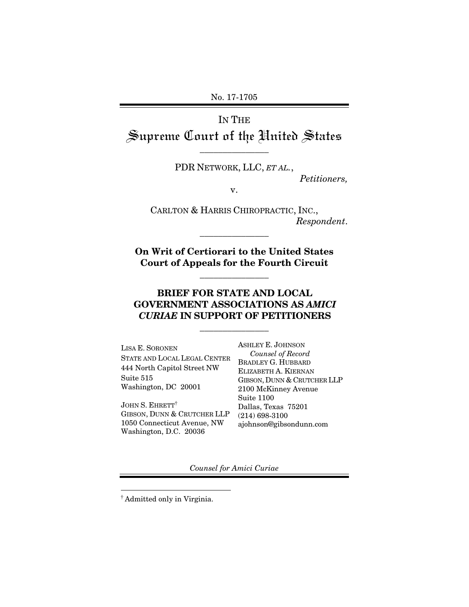No. 17-1705

# IN THE Supreme Court of the United States

\_\_\_\_\_\_\_\_\_\_\_\_\_\_\_

PDR NETWORK, LLC, *ET AL.*,

*Petitioners,* 

v.

CARLTON & HARRIS CHIROPRACTIC, INC., *Respondent*.

**On Writ of Certiorari to the United States Court of Appeals for the Fourth Circuit** 

\_\_\_\_\_\_\_\_\_\_\_\_\_\_\_

\_\_\_\_\_\_\_\_\_\_\_\_\_\_\_

# **BRIEF FOR STATE AND LOCAL GOVERNMENT ASSOCIATIONS AS** *AMICI CURIAE* **IN SUPPORT OF PETITIONERS**

\_\_\_\_\_\_\_\_\_\_\_\_\_\_\_

LISA E. SORONEN STATE AND LOCAL LEGAL CENTER 444 North Capitol Street NW Suite 515 Washington, DC 20001

JOHN S. EHRETT<sup>†</sup> GIBSON, DUNN & CRUTCHER LLP 1050 Connecticut Avenue, NW Washington, D.C. 20036

ASHLEY E. JOHNSON  *Counsel of Record* BRADLEY G. HUBBARD ELIZABETH A. KIERNAN GIBSON, DUNN & CRUTCHER LLP 2100 McKinney Avenue Suite 1100 Dallas, Texas 75201 (214) 698-3100 ajohnson@gibsondunn.com

*Counsel for Amici Curiae* 

 $\overline{a}$ 

<sup>†</sup> Admitted only in Virginia.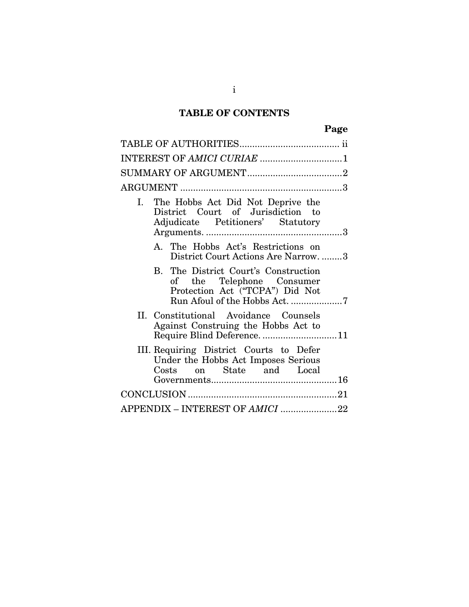# **TABLE OF CONTENTS**

| ×<br>۰,<br>٧<br>w<br>v |
|------------------------|
|------------------------|

| INTEREST OF AMICI CURIAE 1                                                                                                            |
|---------------------------------------------------------------------------------------------------------------------------------------|
|                                                                                                                                       |
|                                                                                                                                       |
| The Hobbs Act Did Not Deprive the<br>Ι.<br>District Court of Jurisdiction to<br>Adjudicate Petitioners' Statutory                     |
| A. The Hobbs Act's Restrictions on<br>District Court Actions Are Narrow3                                                              |
| B. The District Court's Construction<br>of the Telephone Consumer<br>Protection Act ("TCPA") Did Not<br>Run Afoul of the Hobbs Act. 7 |
| II. Constitutional Avoidance Counsels<br>Against Construing the Hobbs Act to<br>Require Blind Deference11                             |
| III. Requiring District Courts to Defer<br>Under the Hobbs Act Imposes Serious<br>on State and Local<br>Costs                         |
|                                                                                                                                       |
| APPENDIX - INTEREST OF AMICI 22                                                                                                       |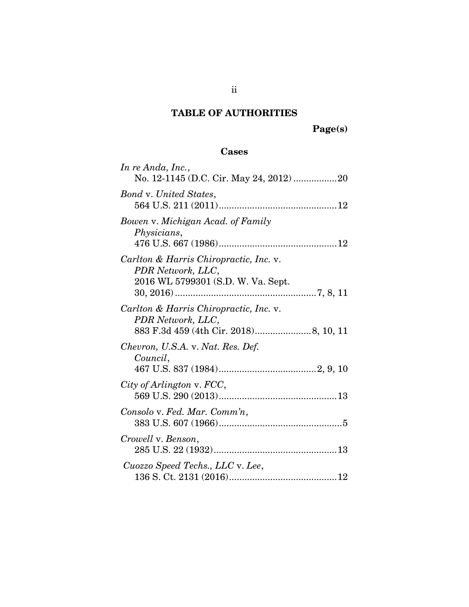# **TABLE OF AUTHORITIES**

## **Cases**

| In re Anda, Inc.,<br>No. 12-1145 (D.C. Cir. May 24, 2012) 20                                      |
|---------------------------------------------------------------------------------------------------|
| <b>Bond v. United States,</b>                                                                     |
| Bowen v. Michigan Acad. of Family<br>Physicians,                                                  |
| Carlton & Harris Chiropractic, Inc. v.<br>PDR Network, LLC,<br>2016 WL 5799301 (S.D. W. Va. Sept. |
| Carlton & Harris Chiropractic, Inc. v.<br>PDR Network, LLC,                                       |
| Chevron, U.S.A. v. Nat. Res. Def.<br>Council,                                                     |
| City of Arlington v. FCC,                                                                         |
| Consolo v. Fed. Mar. Comm'n,                                                                      |
| Crowell v. Benson,                                                                                |
| Cuozzo Speed Techs., LLC v. Lee,                                                                  |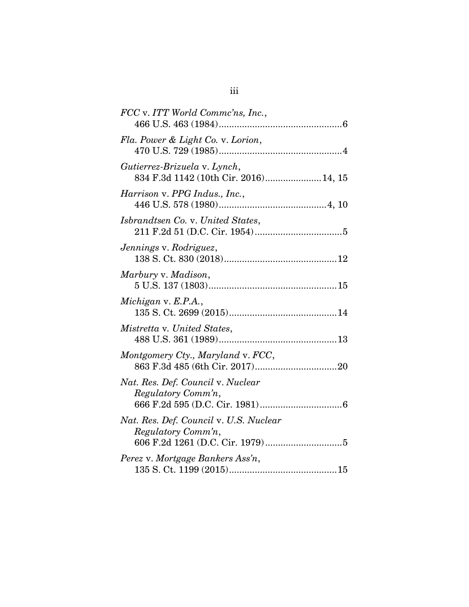| FCC v. ITT World Commc'ns, Inc.,                                     |
|----------------------------------------------------------------------|
| Fla. Power & Light Co. v. Lorion,                                    |
| Gutierrez-Brizuela v. Lynch,<br>834 F.3d 1142 (10th Cir. 2016)14, 15 |
| Harrison v. PPG Indus., Inc.,                                        |
| Isbrandtsen Co. v. United States,                                    |
| Jennings v. Rodriguez,                                               |
| Marbury v. Madison,                                                  |
| Michigan v. E.P.A.,                                                  |
| Mistretta v. United States,                                          |
| Montgomery Cty., Maryland v. FCC,                                    |
| Nat. Res. Def. Council v. Nuclear<br>Regulatory Comm'n,              |
| Nat. Res. Def. Council v. U.S. Nuclear<br>Regulatory Comm'n,         |
| Perez v. Mortgage Bankers Ass'n,                                     |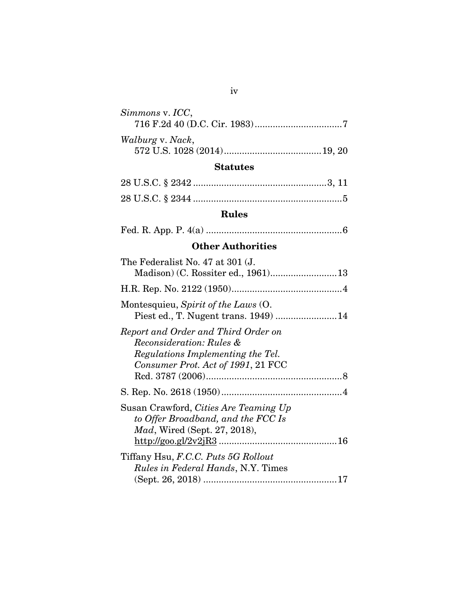| Simmons v. ICC,  |  |
|------------------|--|
|                  |  |
| Walburg v. Nack, |  |

# **Statutes**

# **Rules**

|--|--|--|--|--|--|--|

# **Other Authorities**

| The Federalist No. 47 at 301 (J.                                                                                                           |
|--------------------------------------------------------------------------------------------------------------------------------------------|
|                                                                                                                                            |
| Montesquieu, Spirit of the Laws (O.<br>Piest ed., T. Nugent trans. 1949)  14                                                               |
| Report and Order and Third Order on<br>Reconsideration: Rules &<br>Regulations Implementing the Tel.<br>Consumer Prot. Act of 1991, 21 FCC |
|                                                                                                                                            |
| Susan Crawford, Cities Are Teaming Up<br>to Offer Broadband, and the FCC Is<br><i>Mad</i> , Wired (Sept. 27, 2018),                        |
| Tiffany Hsu, F.C.C. Puts 5G Rollout<br><i>Rules in Federal Hands, N.Y. Times</i>                                                           |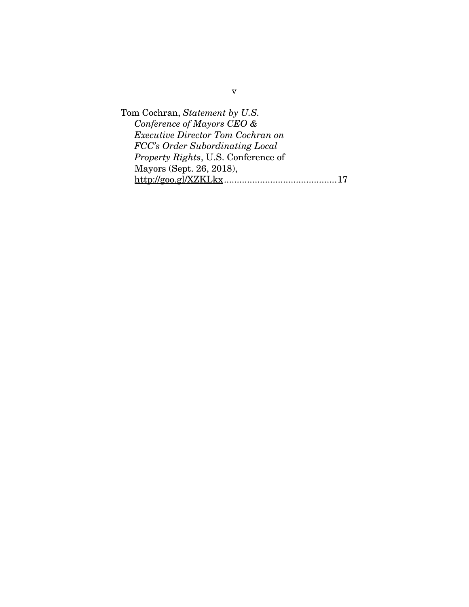Tom Cochran, *Statement by U.S. Conference of Mayors CEO & Executive Director Tom Cochran on FCC's Order Subordinating Local Property Rights*, U.S. Conference of Mayors (Sept. 26, 2018), http://goo.gl/XZKLkx ............................................ 17

v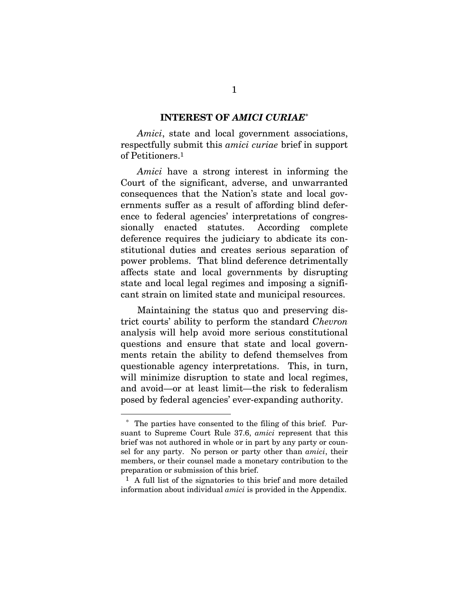#### **INTEREST OF** *AMICI CURIAE***\***

*Amici*, state and local government associations, respectfully submit this *amici curiae* brief in support of Petitioners.1

*Amici* have a strong interest in informing the Court of the significant, adverse, and unwarranted consequences that the Nation's state and local governments suffer as a result of affording blind deference to federal agencies' interpretations of congressionally enacted statutes. According complete deference requires the judiciary to abdicate its constitutional duties and creates serious separation of power problems. That blind deference detrimentally affects state and local governments by disrupting state and local legal regimes and imposing a significant strain on limited state and municipal resources.

Maintaining the status quo and preserving district courts' ability to perform the standard *Chevron* analysis will help avoid more serious constitutional questions and ensure that state and local governments retain the ability to defend themselves from questionable agency interpretations. This, in turn, will minimize disruption to state and local regimes, and avoid—or at least limit—the risk to federalism posed by federal agencies' ever-expanding authority.

 $\overline{a}$ 

The parties have consented to the filing of this brief. Pursuant to Supreme Court Rule 37.6, *amici* represent that this brief was not authored in whole or in part by any party or counsel for any party. No person or party other than *amici*, their members, or their counsel made a monetary contribution to the preparation or submission of this brief.

<sup>1</sup> A full list of the signatories to this brief and more detailed information about individual *amici* is provided in the Appendix.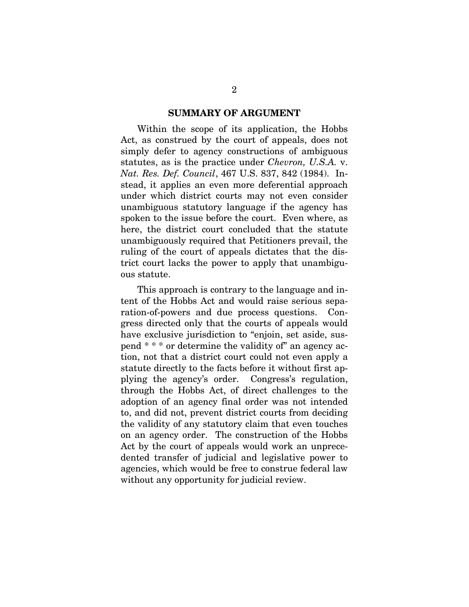#### **SUMMARY OF ARGUMENT**

Within the scope of its application, the Hobbs Act, as construed by the court of appeals, does not simply defer to agency constructions of ambiguous statutes, as is the practice under *Chevron, U.S.A.* v. *Nat. Res. Def. Council*, 467 U.S. 837, 842 (1984). Instead, it applies an even more deferential approach under which district courts may not even consider unambiguous statutory language if the agency has spoken to the issue before the court. Even where, as here, the district court concluded that the statute unambiguously required that Petitioners prevail, the ruling of the court of appeals dictates that the district court lacks the power to apply that unambiguous statute.

This approach is contrary to the language and intent of the Hobbs Act and would raise serious separation-of-powers and due process questions. Congress directed only that the courts of appeals would have exclusive jurisdiction to "enjoin, set aside, suspend \* \* \* or determine the validity of" an agency action, not that a district court could not even apply a statute directly to the facts before it without first applying the agency's order. Congress's regulation, through the Hobbs Act, of direct challenges to the adoption of an agency final order was not intended to, and did not, prevent district courts from deciding the validity of any statutory claim that even touches on an agency order. The construction of the Hobbs Act by the court of appeals would work an unprecedented transfer of judicial and legislative power to agencies, which would be free to construe federal law without any opportunity for judicial review.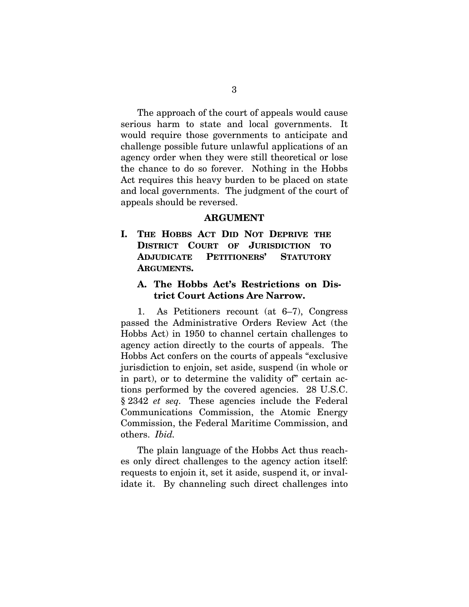The approach of the court of appeals would cause serious harm to state and local governments. It would require those governments to anticipate and challenge possible future unlawful applications of an agency order when they were still theoretical or lose the chance to do so forever. Nothing in the Hobbs Act requires this heavy burden to be placed on state and local governments. The judgment of the court of appeals should be reversed.

#### **ARGUMENT**

**I. THE HOBBS ACT DID NOT DEPRIVE THE DISTRICT COURT OF JURISDICTION TO ADJUDICATE PETITIONERS' STATUTORY ARGUMENTS.** 

### **A. The Hobbs Act's Restrictions on District Court Actions Are Narrow.**

1. As Petitioners recount (at 6–7), Congress passed the Administrative Orders Review Act (the Hobbs Act) in 1950 to channel certain challenges to agency action directly to the courts of appeals. The Hobbs Act confers on the courts of appeals "exclusive jurisdiction to enjoin, set aside, suspend (in whole or in part), or to determine the validity of" certain actions performed by the covered agencies. 28 U.S.C. § 2342 *et seq.* These agencies include the Federal Communications Commission, the Atomic Energy Commission, the Federal Maritime Commission, and others. *Ibid.*

The plain language of the Hobbs Act thus reaches only direct challenges to the agency action itself: requests to enjoin it, set it aside, suspend it, or invalidate it. By channeling such direct challenges into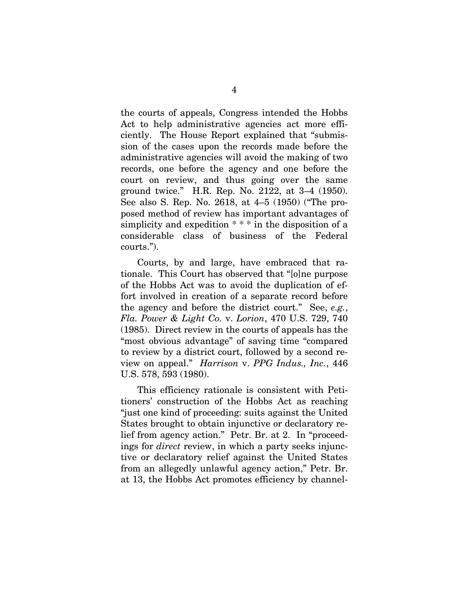the courts of appeals, Congress intended the Hobbs Act to help administrative agencies act more efficiently. The House Report explained that "submission of the cases upon the records made before the administrative agencies will avoid the making of two records, one before the agency and one before the court on review, and thus going over the same ground twice." H.R. Rep. No. 2122, at 3–4 (1950). See also S. Rep. No. 2618, at 4–5 (1950) ("The proposed method of review has important advantages of simplicity and expedition  $***$  in the disposition of a considerable class of business of the Federal courts.").

Courts, by and large, have embraced that rationale. This Court has observed that "[o]ne purpose of the Hobbs Act was to avoid the duplication of effort involved in creation of a separate record before the agency and before the district court." See, *e.g.*, *Fla. Power & Light Co.* v. *Lorion*, 470 U.S. 729, 740 (1985). Direct review in the courts of appeals has the "most obvious advantage" of saving time "compared to review by a district court, followed by a second review on appeal." *Harrison* v. *PPG Indus., Inc.*, 446 U.S. 578, 593 (1980).

This efficiency rationale is consistent with Petitioners' construction of the Hobbs Act as reaching "just one kind of proceeding: suits against the United States brought to obtain injunctive or declaratory relief from agency action." Petr. Br. at 2. In "proceedings for *direct* review, in which a party seeks injunctive or declaratory relief against the United States from an allegedly unlawful agency action," Petr. Br. at 13, the Hobbs Act promotes efficiency by channel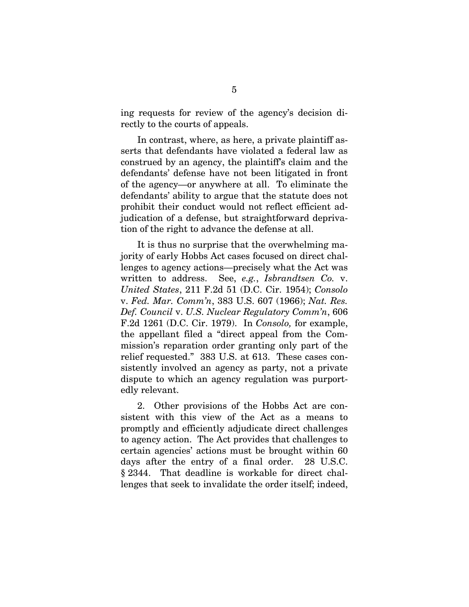ing requests for review of the agency's decision directly to the courts of appeals.

In contrast, where, as here, a private plaintiff asserts that defendants have violated a federal law as construed by an agency, the plaintiff's claim and the defendants' defense have not been litigated in front of the agency—or anywhere at all. To eliminate the defendants' ability to argue that the statute does not prohibit their conduct would not reflect efficient adjudication of a defense, but straightforward deprivation of the right to advance the defense at all.

It is thus no surprise that the overwhelming majority of early Hobbs Act cases focused on direct challenges to agency actions—precisely what the Act was written to address. See, *e.g.*, *Isbrandtsen Co.* v. *United States*, 211 F.2d 51 (D.C. Cir. 1954); *Consolo* v. *Fed. Mar. Comm'n*, 383 U.S. 607 (1966); *Nat. Res. Def. Council* v. *U.S. Nuclear Regulatory Comm'n*, 606 F.2d 1261 (D.C. Cir. 1979). In *Consolo,* for example, the appellant filed a "direct appeal from the Commission's reparation order granting only part of the relief requested." 383 U.S. at 613. These cases consistently involved an agency as party, not a private dispute to which an agency regulation was purportedly relevant.

2. Other provisions of the Hobbs Act are consistent with this view of the Act as a means to promptly and efficiently adjudicate direct challenges to agency action. The Act provides that challenges to certain agencies' actions must be brought within 60 days after the entry of a final order. 28 U.S.C. § 2344. That deadline is workable for direct challenges that seek to invalidate the order itself; indeed,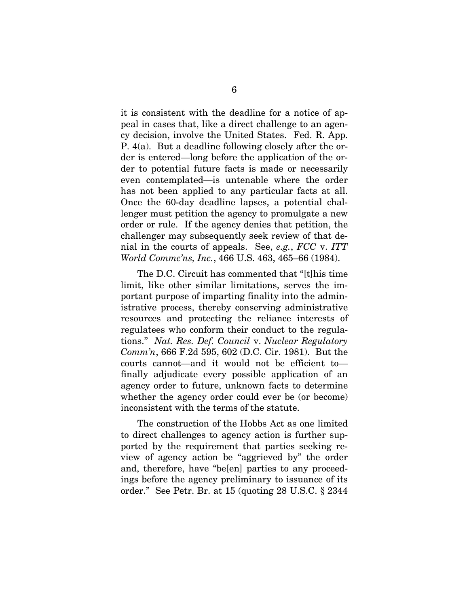it is consistent with the deadline for a notice of appeal in cases that, like a direct challenge to an agency decision, involve the United States. Fed. R. App. P. 4(a). But a deadline following closely after the order is entered—long before the application of the order to potential future facts is made or necessarily even contemplated—is untenable where the order has not been applied to any particular facts at all. Once the 60-day deadline lapses, a potential challenger must petition the agency to promulgate a new order or rule. If the agency denies that petition, the challenger may subsequently seek review of that denial in the courts of appeals. See, *e.g.*, *FCC* v. *ITT World Commc'ns, Inc.*, 466 U.S. 463, 465–66 (1984).

The D.C. Circuit has commented that "[t]his time limit, like other similar limitations, serves the important purpose of imparting finality into the administrative process, thereby conserving administrative resources and protecting the reliance interests of regulatees who conform their conduct to the regulations." *Nat. Res. Def. Council* v. *Nuclear Regulatory Comm'n*, 666 F.2d 595, 602 (D.C. Cir. 1981). But the courts cannot—and it would not be efficient to finally adjudicate every possible application of an agency order to future, unknown facts to determine whether the agency order could ever be (or become) inconsistent with the terms of the statute.

The construction of the Hobbs Act as one limited to direct challenges to agency action is further supported by the requirement that parties seeking review of agency action be "aggrieved by" the order and, therefore, have "be[en] parties to any proceedings before the agency preliminary to issuance of its order." See Petr. Br. at 15 (quoting 28 U.S.C. § 2344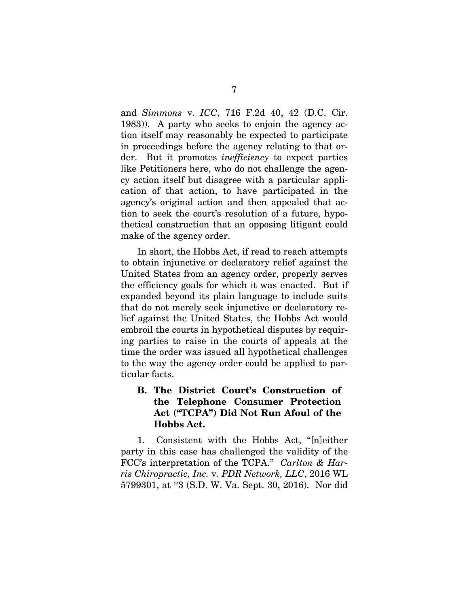and *Simmons* v. *ICC*, 716 F.2d 40, 42 (D.C. Cir. 1983)). A party who seeks to enjoin the agency action itself may reasonably be expected to participate in proceedings before the agency relating to that order. But it promotes *inefficiency* to expect parties like Petitioners here, who do not challenge the agency action itself but disagree with a particular application of that action, to have participated in the agency's original action and then appealed that action to seek the court's resolution of a future, hypothetical construction that an opposing litigant could make of the agency order.

In short, the Hobbs Act, if read to reach attempts to obtain injunctive or declaratory relief against the United States from an agency order, properly serves the efficiency goals for which it was enacted. But if expanded beyond its plain language to include suits that do not merely seek injunctive or declaratory relief against the United States, the Hobbs Act would embroil the courts in hypothetical disputes by requiring parties to raise in the courts of appeals at the time the order was issued all hypothetical challenges to the way the agency order could be applied to particular facts.

## **B. The District Court's Construction of the Telephone Consumer Protection Act ("TCPA") Did Not Run Afoul of the Hobbs Act.**

1. Consistent with the Hobbs Act, "[n]either party in this case has challenged the validity of the FCC's interpretation of the TCPA." *Carlton & Harris Chiropractic, Inc.* v. *PDR Network, LLC*, 2016 WL 5799301, at \*3 (S.D. W. Va. Sept. 30, 2016).Nor did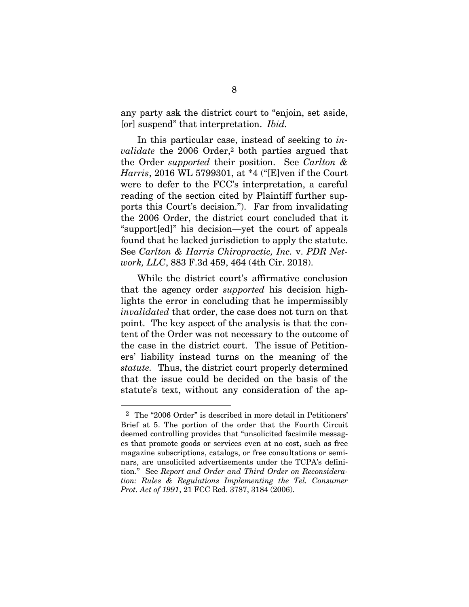any party ask the district court to "enjoin, set aside, [or] suspend" that interpretation. *Ibid.*

In this particular case, instead of seeking to *invalidate* the 2006 Order,2 both parties argued that the Order *supported* their position. See *Carlton & Harris*, 2016 WL 5799301, at \*4 ("[E]ven if the Court were to defer to the FCC's interpretation, a careful reading of the section cited by Plaintiff further supports this Court's decision."). Far from invalidating the 2006 Order, the district court concluded that it "support[ed]" his decision—yet the court of appeals found that he lacked jurisdiction to apply the statute. See *Carlton & Harris Chiropractic, Inc.* v. *PDR Network, LLC*, 883 F.3d 459, 464 (4th Cir. 2018).

While the district court's affirmative conclusion that the agency order *supported* his decision highlights the error in concluding that he impermissibly *invalidated* that order, the case does not turn on that point. The key aspect of the analysis is that the content of the Order was not necessary to the outcome of the case in the district court. The issue of Petitioners' liability instead turns on the meaning of the *statute.* Thus, the district court properly determined that the issue could be decided on the basis of the statute's text, without any consideration of the ap-

<sup>2</sup> The "2006 Order" is described in more detail in Petitioners' Brief at 5. The portion of the order that the Fourth Circuit deemed controlling provides that "unsolicited facsimile messages that promote goods or services even at no cost, such as free magazine subscriptions, catalogs, or free consultations or seminars, are unsolicited advertisements under the TCPA's definition." See *Report and Order and Third Order on Reconsideration: Rules & Regulations Implementing the Tel. Consumer Prot. Act of 1991*, 21 FCC Rcd. 3787, 3184 (2006).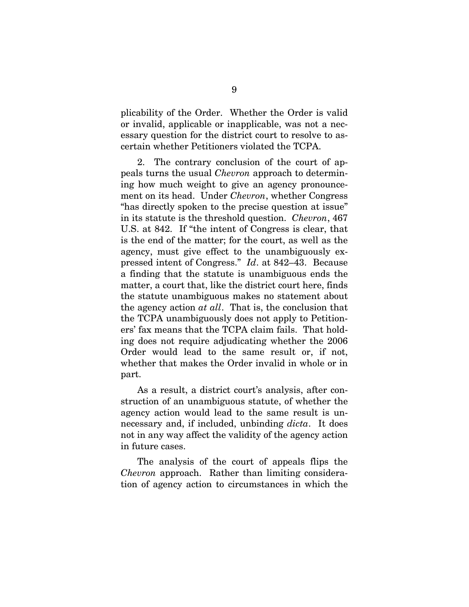plicability of the Order. Whether the Order is valid or invalid, applicable or inapplicable, was not a necessary question for the district court to resolve to ascertain whether Petitioners violated the TCPA.

2. The contrary conclusion of the court of appeals turns the usual *Chevron* approach to determining how much weight to give an agency pronouncement on its head. Under *Chevron*, whether Congress "has directly spoken to the precise question at issue" in its statute is the threshold question. *Chevron*, 467 U.S. at 842. If "the intent of Congress is clear, that is the end of the matter; for the court, as well as the agency, must give effect to the unambiguously expressed intent of Congress." *Id*. at 842–43. Because a finding that the statute is unambiguous ends the matter, a court that, like the district court here, finds the statute unambiguous makes no statement about the agency action *at all*. That is, the conclusion that the TCPA unambiguously does not apply to Petitioners' fax means that the TCPA claim fails. That holding does not require adjudicating whether the 2006 Order would lead to the same result or, if not, whether that makes the Order invalid in whole or in part.

As a result, a district court's analysis, after construction of an unambiguous statute, of whether the agency action would lead to the same result is unnecessary and, if included, unbinding *dicta*. It does not in any way affect the validity of the agency action in future cases.

The analysis of the court of appeals flips the *Chevron* approach. Rather than limiting consideration of agency action to circumstances in which the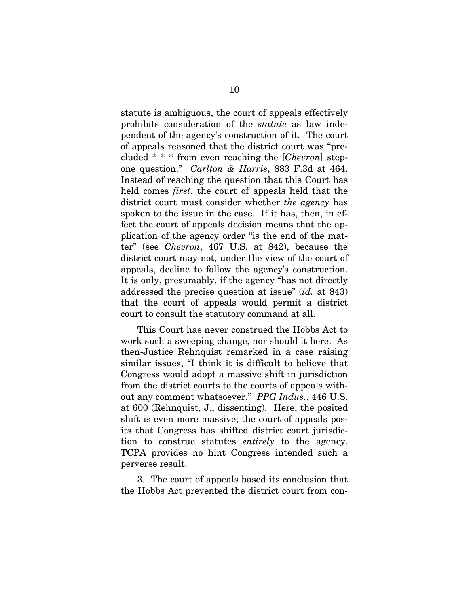statute is ambiguous, the court of appeals effectively prohibits consideration of the *statute* as law independent of the agency's construction of it. The court of appeals reasoned that the district court was "precluded \* \* \* from even reaching the [*Chevron*] stepone question." *Carlton & Harris*, 883 F.3d at 464. Instead of reaching the question that this Court has held comes *first*, the court of appeals held that the district court must consider whether *the agency* has spoken to the issue in the case. If it has, then, in effect the court of appeals decision means that the application of the agency order "is the end of the matter" (see *Chevron*, 467 U.S. at 842), because the district court may not, under the view of the court of appeals, decline to follow the agency's construction. It is only, presumably, if the agency "has not directly addressed the precise question at issue" (*id.* at 843) that the court of appeals would permit a district court to consult the statutory command at all.

This Court has never construed the Hobbs Act to work such a sweeping change, nor should it here. As then-Justice Rehnquist remarked in a case raising similar issues, "I think it is difficult to believe that Congress would adopt a massive shift in jurisdiction from the district courts to the courts of appeals without any comment whatsoever." *PPG Indus.*, 446 U.S. at 600 (Rehnquist, J., dissenting). Here, the posited shift is even more massive; the court of appeals posits that Congress has shifted district court jurisdiction to construe statutes *entirely* to the agency. TCPA provides no hint Congress intended such a perverse result.

3. The court of appeals based its conclusion that the Hobbs Act prevented the district court from con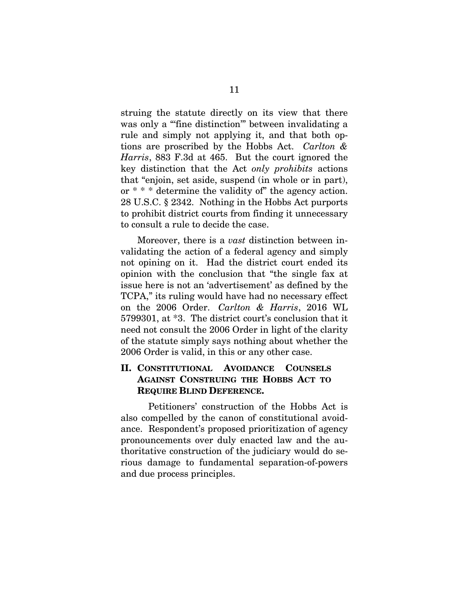struing the statute directly on its view that there was only a "fine distinction" between invalidating a rule and simply not applying it, and that both options are proscribed by the Hobbs Act. *Carlton & Harris*, 883 F.3d at 465. But the court ignored the key distinction that the Act *only prohibits* actions that "enjoin, set aside, suspend (in whole or in part), or \* \* \* determine the validity of" the agency action. 28 U.S.C. § 2342. Nothing in the Hobbs Act purports to prohibit district courts from finding it unnecessary to consult a rule to decide the case.

Moreover, there is a *vast* distinction between invalidating the action of a federal agency and simply not opining on it. Had the district court ended its opinion with the conclusion that "the single fax at issue here is not an 'advertisement' as defined by the TCPA," its ruling would have had no necessary effect on the 2006 Order. *Carlton & Harris*, 2016 WL 5799301, at \*3. The district court's conclusion that it need not consult the 2006 Order in light of the clarity of the statute simply says nothing about whether the 2006 Order is valid, in this or any other case.

### **II. CONSTITUTIONAL AVOIDANCE COUNSELS AGAINST CONSTRUING THE HOBBS ACT TO REQUIRE BLIND DEFERENCE.**

Petitioners' construction of the Hobbs Act is also compelled by the canon of constitutional avoidance. Respondent's proposed prioritization of agency pronouncements over duly enacted law and the authoritative construction of the judiciary would do serious damage to fundamental separation-of-powers and due process principles.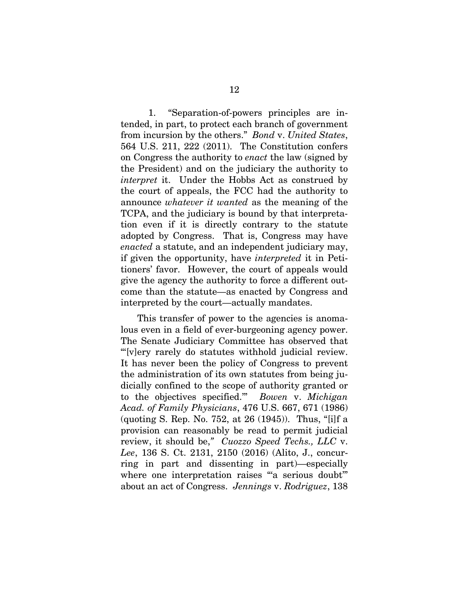1. "Separation-of-powers principles are intended, in part, to protect each branch of government from incursion by the others." *Bond* v. *United States*, 564 U.S. 211, 222 (2011). The Constitution confers on Congress the authority to *enact* the law (signed by the President) and on the judiciary the authority to *interpret* it. Under the Hobbs Act as construed by the court of appeals, the FCC had the authority to announce *whatever it wanted* as the meaning of the TCPA, and the judiciary is bound by that interpretation even if it is directly contrary to the statute adopted by Congress. That is, Congress may have *enacted* a statute, and an independent judiciary may, if given the opportunity, have *interpreted* it in Petitioners' favor. However, the court of appeals would give the agency the authority to force a different outcome than the statute—as enacted by Congress and interpreted by the court—actually mandates.

This transfer of power to the agencies is anomalous even in a field of ever-burgeoning agency power. The Senate Judiciary Committee has observed that "'[v]ery rarely do statutes withhold judicial review. It has never been the policy of Congress to prevent the administration of its own statutes from being judicially confined to the scope of authority granted or to the objectives specified.'" *Bowen* v. *Michigan Acad. of Family Physicians*, 476 U.S. 667, 671 (1986) (quoting S. Rep. No. 752, at 26 (1945)). Thus, "[i]f a provision can reasonably be read to permit judicial review, it should be,*" Cuozzo Speed Techs., LLC* v. *Lee*, 136 S. Ct. 2131, 2150 (2016) (Alito, J., concurring in part and dissenting in part)—especially where one interpretation raises "a serious doubt" about an act of Congress. *Jennings* v. *Rodriguez*, 138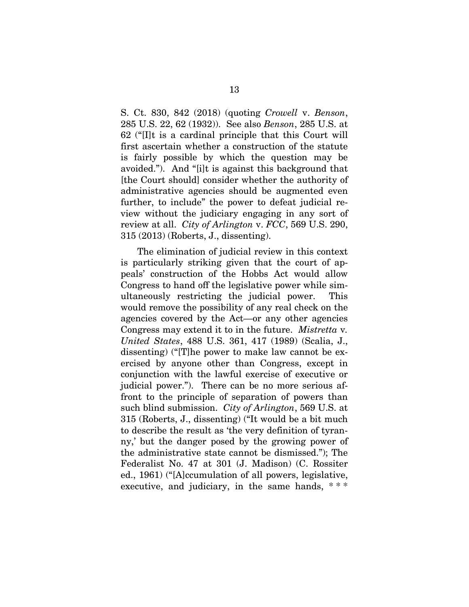S. Ct. 830, 842 (2018) (quoting *Crowell* v. *Benson*, 285 U.S. 22, 62 (1932)). See also *Benson*, 285 U.S. at 62 ("[I]t is a cardinal principle that this Court will first ascertain whether a construction of the statute is fairly possible by which the question may be avoided."). And "[i]t is against this background that [the Court should] consider whether the authority of administrative agencies should be augmented even further, to include" the power to defeat judicial review without the judiciary engaging in any sort of review at all. *City of Arlington* v. *FCC*, 569 U.S. 290, 315 (2013) (Roberts, J., dissenting).

The elimination of judicial review in this context is particularly striking given that the court of appeals' construction of the Hobbs Act would allow Congress to hand off the legislative power while simultaneously restricting the judicial power. This would remove the possibility of any real check on the agencies covered by the Act—or any other agencies Congress may extend it to in the future. *Mistretta* v*. United States*, 488 U.S. 361, 417 (1989) (Scalia, J., dissenting) ("[T]he power to make law cannot be exercised by anyone other than Congress, except in conjunction with the lawful exercise of executive or judicial power."). There can be no more serious affront to the principle of separation of powers than such blind submission. *City of Arlington*, 569 U.S. at 315 (Roberts, J., dissenting) ("It would be a bit much to describe the result as 'the very definition of tyranny,' but the danger posed by the growing power of the administrative state cannot be dismissed."); The Federalist No. 47 at 301 (J. Madison) (C. Rossiter ed., 1961) ("[A]ccumulation of all powers, legislative, executive, and judiciary, in the same hands,  $***$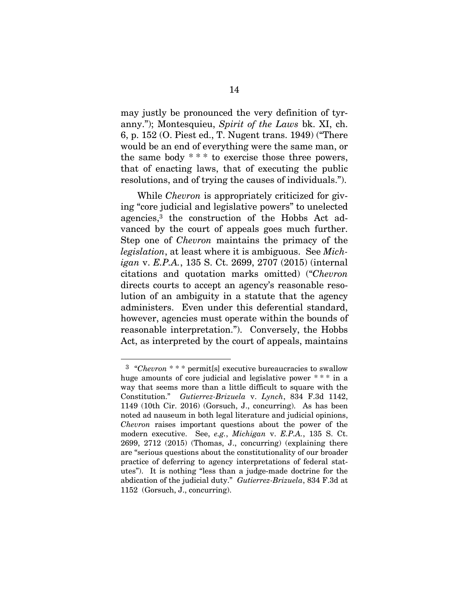may justly be pronounced the very definition of tyranny."); Montesquieu, *Spirit of the Laws* bk. XI, ch. 6, p. 152 (O. Piest ed., T. Nugent trans. 1949) ("There would be an end of everything were the same man, or the same body  $***$  to exercise those three powers, that of enacting laws, that of executing the public resolutions, and of trying the causes of individuals.").

While *Chevron* is appropriately criticized for giving "core judicial and legislative powers" to unelected agencies,3 the construction of the Hobbs Act advanced by the court of appeals goes much further. Step one of *Chevron* maintains the primacy of the *legislation*, at least where it is ambiguous. See *Michigan* v. *E.P.A.*, 135 S. Ct. 2699, 2707 (2015) (internal citations and quotation marks omitted) ("*Chevron* directs courts to accept an agency's reasonable resolution of an ambiguity in a statute that the agency administers. Even under this deferential standard, however, agencies must operate within the bounds of reasonable interpretation."). Conversely, the Hobbs Act, as interpreted by the court of appeals, maintains

<sup>3 &</sup>quot;*Chevron* \* \* \* permit[s] executive bureaucracies to swallow huge amounts of core judicial and legislative power \*\*\* in a way that seems more than a little difficult to square with the Constitution." *Gutierrez-Brizuela* v. *Lynch*, 834 F.3d 1142, 1149 (10th Cir. 2016) (Gorsuch, J., concurring). As has been noted ad nauseum in both legal literature and judicial opinions, *Chevron* raises important questions about the power of the modern executive. See, *e.g.*, *Michigan* v. *E.P.A.*, 135 S. Ct. 2699, 2712 (2015) (Thomas, J., concurring) (explaining there are "serious questions about the constitutionality of our broader practice of deferring to agency interpretations of federal statutes"). It is nothing "less than a judge-made doctrine for the abdication of the judicial duty." *Gutierrez-Brizuela*, 834 F.3d at 1152 (Gorsuch, J., concurring).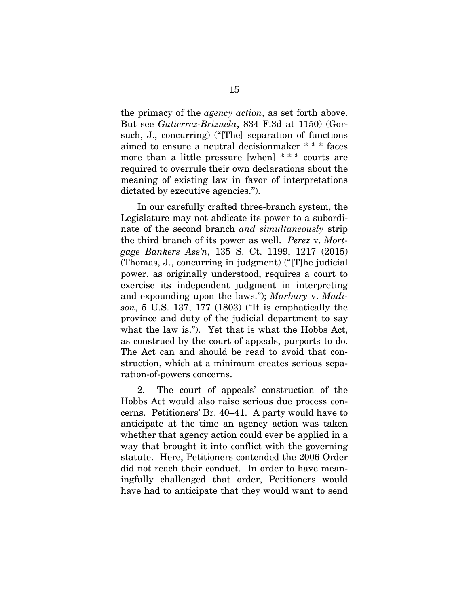the primacy of the *agency action*, as set forth above. But see *Gutierrez-Brizuela*, 834 F.3d at 1150) (Gorsuch, J., concurring) ("[The] separation of functions aimed to ensure a neutral decisionmaker \* \* \* faces more than a little pressure [when] \* \* \* courts are required to overrule their own declarations about the meaning of existing law in favor of interpretations dictated by executive agencies.").

In our carefully crafted three-branch system, the Legislature may not abdicate its power to a subordinate of the second branch *and simultaneously* strip the third branch of its power as well. *Perez* v. *Mortgage Bankers Ass'n*, 135 S. Ct. 1199, 1217 (2015) (Thomas, J., concurring in judgment) ("[T]he judicial power, as originally understood, requires a court to exercise its independent judgment in interpreting and expounding upon the laws."); *Marbury* v. *Madison*, 5 U.S. 137, 177 (1803) ("It is emphatically the province and duty of the judicial department to say what the law is."). Yet that is what the Hobbs Act, as construed by the court of appeals, purports to do. The Act can and should be read to avoid that construction, which at a minimum creates serious separation-of-powers concerns.

2. The court of appeals' construction of the Hobbs Act would also raise serious due process concerns. Petitioners' Br. 40–41. A party would have to anticipate at the time an agency action was taken whether that agency action could ever be applied in a way that brought it into conflict with the governing statute. Here, Petitioners contended the 2006 Order did not reach their conduct. In order to have meaningfully challenged that order, Petitioners would have had to anticipate that they would want to send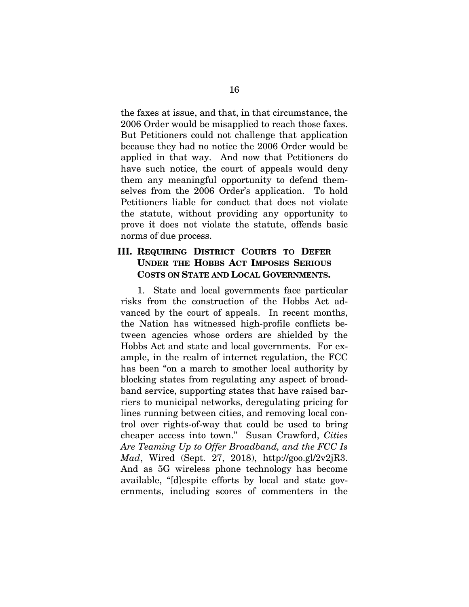the faxes at issue, and that, in that circumstance, the 2006 Order would be misapplied to reach those faxes. But Petitioners could not challenge that application because they had no notice the 2006 Order would be applied in that way. And now that Petitioners do have such notice, the court of appeals would deny them any meaningful opportunity to defend themselves from the 2006 Order's application. To hold Petitioners liable for conduct that does not violate the statute, without providing any opportunity to prove it does not violate the statute, offends basic norms of due process.

### **III. REQUIRING DISTRICT COURTS TO DEFER UNDER THE HOBBS ACT IMPOSES SERIOUS COSTS ON STATE AND LOCAL GOVERNMENTS.**

1. State and local governments face particular risks from the construction of the Hobbs Act advanced by the court of appeals. In recent months, the Nation has witnessed high-profile conflicts between agencies whose orders are shielded by the Hobbs Act and state and local governments. For example, in the realm of internet regulation, the FCC has been "on a march to smother local authority by blocking states from regulating any aspect of broadband service, supporting states that have raised barriers to municipal networks, deregulating pricing for lines running between cities, and removing local control over rights-of-way that could be used to bring cheaper access into town." Susan Crawford, *Cities Are Teaming Up to Offer Broadband, and the FCC Is Mad*, Wired (Sept. 27, 2018), http://goo.gl/2v2jR3. And as 5G wireless phone technology has become available, "[d]espite efforts by local and state governments, including scores of commenters in the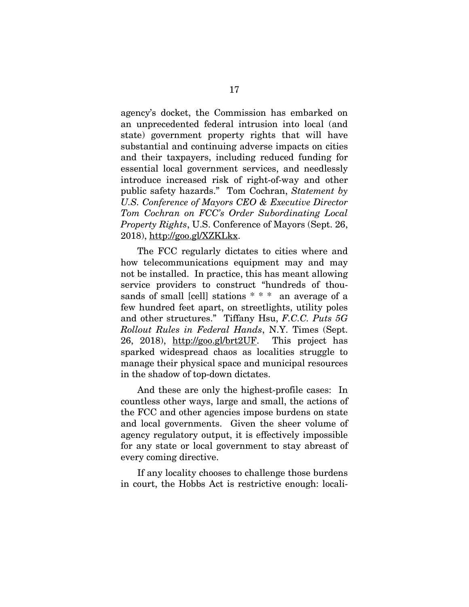agency's docket, the Commission has embarked on an unprecedented federal intrusion into local (and state) government property rights that will have substantial and continuing adverse impacts on cities and their taxpayers, including reduced funding for essential local government services, and needlessly introduce increased risk of right-of-way and other public safety hazards." Tom Cochran, *Statement by U.S. Conference of Mayors CEO & Executive Director Tom Cochran on FCC's Order Subordinating Local Property Rights*, U.S. Conference of Mayors (Sept. 26, 2018), http://goo.gl/XZKLkx.

The FCC regularly dictates to cities where and how telecommunications equipment may and may not be installed. In practice, this has meant allowing service providers to construct "hundreds of thousands of small [cell] stations \* \* \* an average of a few hundred feet apart, on streetlights, utility poles and other structures." Tiffany Hsu, *F.C.C. Puts 5G Rollout Rules in Federal Hands*, N.Y. Times (Sept. 26, 2018), http://goo.gl/brt2UF. This project has sparked widespread chaos as localities struggle to manage their physical space and municipal resources in the shadow of top-down dictates.

And these are only the highest-profile cases: In countless other ways, large and small, the actions of the FCC and other agencies impose burdens on state and local governments. Given the sheer volume of agency regulatory output, it is effectively impossible for any state or local government to stay abreast of every coming directive.

If any locality chooses to challenge those burdens in court, the Hobbs Act is restrictive enough: locali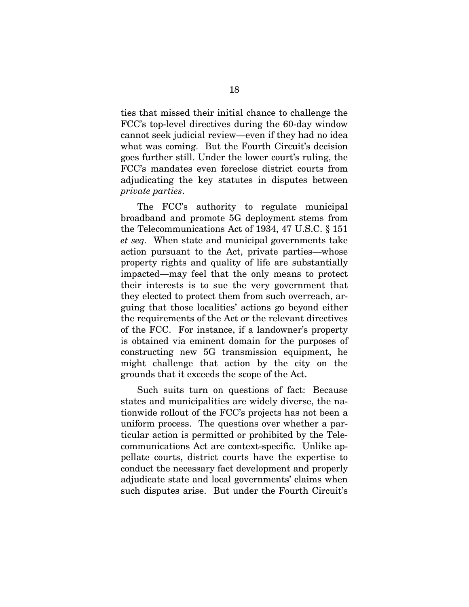ties that missed their initial chance to challenge the FCC's top-level directives during the 60-day window cannot seek judicial review—even if they had no idea what was coming. But the Fourth Circuit's decision goes further still. Under the lower court's ruling, the FCC's mandates even foreclose district courts from adjudicating the key statutes in disputes between *private parties*.

The FCC's authority to regulate municipal broadband and promote 5G deployment stems from the Telecommunications Act of 1934, 47 U.S.C. § 151 *et seq.* When state and municipal governments take action pursuant to the Act, private parties—whose property rights and quality of life are substantially impacted—may feel that the only means to protect their interests is to sue the very government that they elected to protect them from such overreach, arguing that those localities' actions go beyond either the requirements of the Act or the relevant directives of the FCC. For instance, if a landowner's property is obtained via eminent domain for the purposes of constructing new 5G transmission equipment, he might challenge that action by the city on the grounds that it exceeds the scope of the Act.

Such suits turn on questions of fact: Because states and municipalities are widely diverse, the nationwide rollout of the FCC's projects has not been a uniform process. The questions over whether a particular action is permitted or prohibited by the Telecommunications Act are context-specific. Unlike appellate courts, district courts have the expertise to conduct the necessary fact development and properly adjudicate state and local governments' claims when such disputes arise. But under the Fourth Circuit's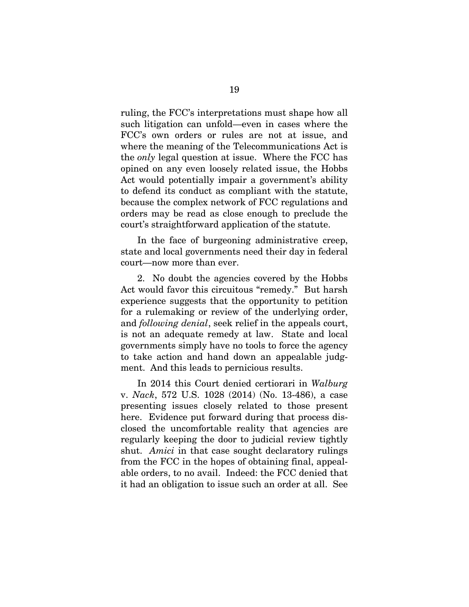ruling, the FCC's interpretations must shape how all such litigation can unfold—even in cases where the FCC's own orders or rules are not at issue, and where the meaning of the Telecommunications Act is the *only* legal question at issue. Where the FCC has opined on any even loosely related issue, the Hobbs Act would potentially impair a government's ability to defend its conduct as compliant with the statute, because the complex network of FCC regulations and orders may be read as close enough to preclude the court's straightforward application of the statute.

In the face of burgeoning administrative creep, state and local governments need their day in federal court—now more than ever.

2. No doubt the agencies covered by the Hobbs Act would favor this circuitous "remedy." But harsh experience suggests that the opportunity to petition for a rulemaking or review of the underlying order, and *following denial*, seek relief in the appeals court, is not an adequate remedy at law. State and local governments simply have no tools to force the agency to take action and hand down an appealable judgment. And this leads to pernicious results.

In 2014 this Court denied certiorari in *Walburg*  v. *Nack*, 572 U.S. 1028 (2014) (No. 13-486), a case presenting issues closely related to those present here. Evidence put forward during that process disclosed the uncomfortable reality that agencies are regularly keeping the door to judicial review tightly shut. *Amici* in that case sought declaratory rulings from the FCC in the hopes of obtaining final, appealable orders, to no avail. Indeed: the FCC denied that it had an obligation to issue such an order at all. See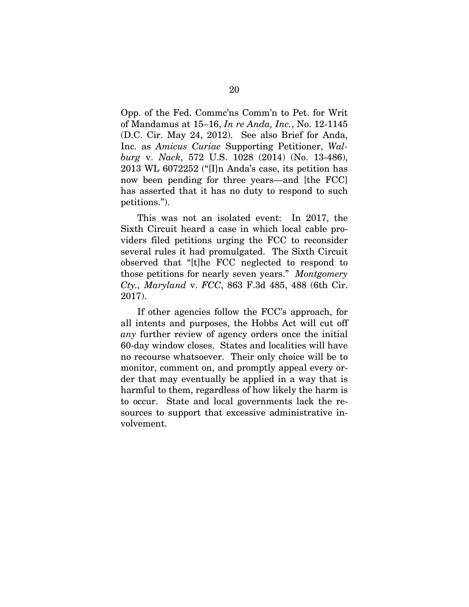Opp. of the Fed. Commc'ns Comm'n to Pet. for Writ of Mandamus at 15–16, *In re Anda, Inc.*, No. 12-1145 (D.C. Cir. May 24, 2012). See also Brief for Anda, Inc. as *Amicus Curiae* Supporting Petitioner, *Walburg* v. *Nack*, 572 U.S. 1028 (2014) (No. 13-486), 2013 WL 6072252 ("[I]n Anda's case, its petition has now been pending for three years—and [the FCC] has asserted that it has no duty to respond to such petitions.").

This was not an isolated event: In 2017, the Sixth Circuit heard a case in which local cable providers filed petitions urging the FCC to reconsider several rules it had promulgated. The Sixth Circuit observed that "[t]he FCC neglected to respond to those petitions for nearly seven years." *Montgomery Cty., Maryland* v. *FCC*, 863 F.3d 485, 488 (6th Cir. 2017).

If other agencies follow the FCC's approach, for all intents and purposes, the Hobbs Act will cut off *any* further review of agency orders once the initial 60-day window closes. States and localities will have no recourse whatsoever. Their only choice will be to monitor, comment on, and promptly appeal every order that may eventually be applied in a way that is harmful to them, regardless of how likely the harm is to occur. State and local governments lack the resources to support that excessive administrative involvement.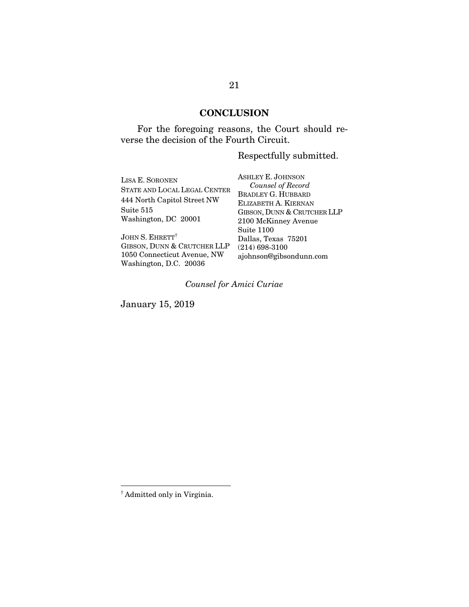# **CONCLUSION**

For the foregoing reasons, the Court should reverse the decision of the Fourth Circuit.

## Respectfully submitted.

| LISA E. SORONEN              | <b>ASHLEY E. JOHNSON</b>                          |
|------------------------------|---------------------------------------------------|
| STATE AND LOCAL LEGAL CENTER | Counsel of Record                                 |
| 444 North Capitol Street NW  | <b>BRADLEY G. HUBBARD</b><br>ELIZABETH A. KIERNAN |
|                              |                                                   |
| Suite 515                    | GIBSON, DUNN & CRUTCHER LLP                       |
| Washington, DC 20001         | 2100 McKinney Avenue                              |
|                              | Suite 1100                                        |
| JOHN S. EHRETT <sup>†</sup>  | Dallas, Texas 75201                               |
| GIBSON, DUNN & CRUTCHER LLP  | $(214)$ 698-3100                                  |
| 1050 Connecticut Avenue, NW  | ajohnson@gibsondunn.com                           |
| Washington, D.C. 20036       |                                                   |

# *Counsel for Amici Curiae*

January 15, 2019

<sup>†</sup> Admitted only in Virginia.